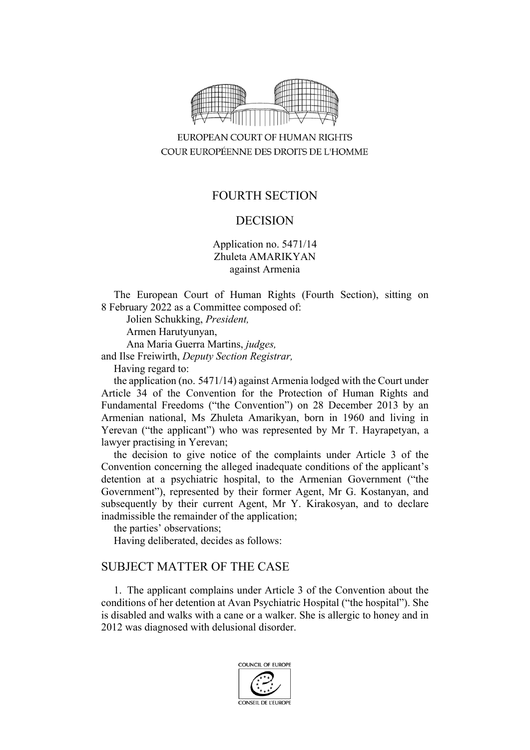

EUROPEAN COURT OF HUMAN RIGHTS COUR EUROPÉENNE DES DROITS DE L'HOMME

## FOURTH SECTION

## DECISION

Application no. 5471/14 Zhuleta AMARIKYAN against Armenia

The European Court of Human Rights (Fourth Section), sitting on 8 February 2022 as a Committee composed of:

Jolien Schukking, *President,*

Armen Harutyunyan,

Ana Maria Guerra Martins, *judges,*

and Ilse Freiwirth, *Deputy Section Registrar,*

Having regard to:

the application (no. 5471/14) against Armenia lodged with the Court under Article 34 of the Convention for the Protection of Human Rights and Fundamental Freedoms ("the Convention") on 28 December 2013 by an Armenian national, Ms Zhuleta Amarikyan, born in 1960 and living in Yerevan ("the applicant") who was represented by Mr T. Hayrapetyan, a lawyer practising in Yerevan;

the decision to give notice of the complaints under Article 3 of the Convention concerning the alleged inadequate conditions of the applicant's detention at a psychiatric hospital, to the Armenian Government ("the Government"), represented by their former Agent, Mr G. Kostanyan, and subsequently by their current Agent, Mr Y. Kirakosyan, and to declare inadmissible the remainder of the application;

the parties' observations;

Having deliberated, decides as follows:

## SUBJECT MATTER OF THE CASE

1. The applicant complains under Article 3 of the Convention about the conditions of her detention at Avan Psychiatric Hospital ("the hospital"). She is disabled and walks with a cane or a walker. She is allergic to honey and in 2012 was diagnosed with delusional disorder.

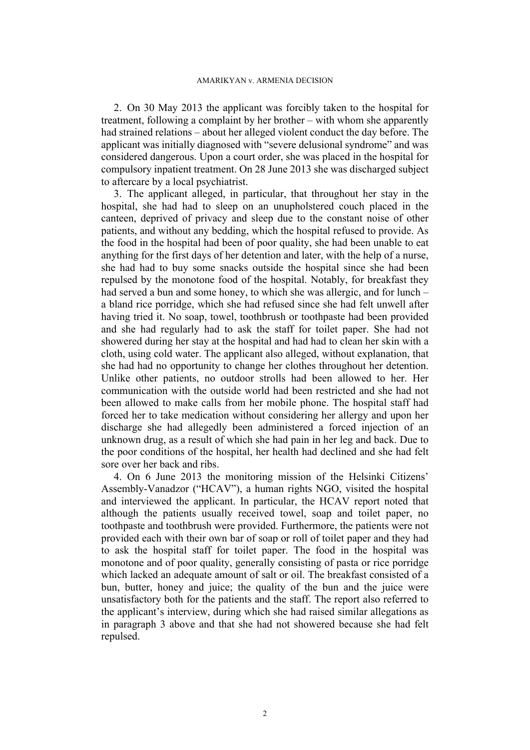2. On 30 May 2013 the applicant was forcibly taken to the hospital for treatment, following a complaint by her brother – with whom she apparently had strained relations – about her alleged violent conduct the day before. The applicant was initially diagnosed with "severe delusional syndrome" and was considered dangerous. Upon a court order, she was placed in the hospital for compulsory inpatient treatment. On 28 June 2013 she was discharged subject to aftercare by a local psychiatrist.

<span id="page-1-0"></span>3. The applicant alleged, in particular, that throughout her stay in the hospital, she had had to sleep on an unupholstered couch placed in the canteen, deprived of privacy and sleep due to the constant noise of other patients, and without any bedding, which the hospital refused to provide. As the food in the hospital had been of poor quality, she had been unable to eat anything for the first days of her detention and later, with the help of a nurse, she had had to buy some snacks outside the hospital since she had been repulsed by the monotone food of the hospital. Notably, for breakfast they had served a bun and some honey, to which she was allergic, and for lunch – a bland rice porridge, which she had refused since she had felt unwell after having tried it. No soap, towel, toothbrush or toothpaste had been provided and she had regularly had to ask the staff for toilet paper. She had not showered during her stay at the hospital and had had to clean her skin with a cloth, using cold water. The applicant also alleged, without explanation, that she had had no opportunity to change her clothes throughout her detention. Unlike other patients, no outdoor strolls had been allowed to her. Her communication with the outside world had been restricted and she had not been allowed to make calls from her mobile phone. The hospital staff had forced her to take medication without considering her allergy and upon her discharge she had allegedly been administered a forced injection of an unknown drug, as a result of which she had pain in her leg and back. Due to the poor conditions of the hospital, her health had declined and she had felt sore over her back and ribs.

<span id="page-1-1"></span>4. On 6 June 2013 the monitoring mission of the Helsinki Citizens' Assembly-Vanadzor ("HCAV"), a human rights NGO, visited the hospital and interviewed the applicant. In particular, the HCAV report noted that although the patients usually received towel, soap and toilet paper, no toothpaste and toothbrush were provided. Furthermore, the patients were not provided each with their own bar of soap or roll of toilet paper and they had to ask the hospital staff for toilet paper. The food in the hospital was monotone and of poor quality, generally consisting of pasta or rice porridge which lacked an adequate amount of salt or oil. The breakfast consisted of a bun, butter, honey and juice; the quality of the bun and the juice were unsatisfactory both for the patients and the staff. The report also referred to the applicant's interview, during which she had raised similar allegations as in paragraph [3](#page-1-0) above and that she had not showered because she had felt repulsed.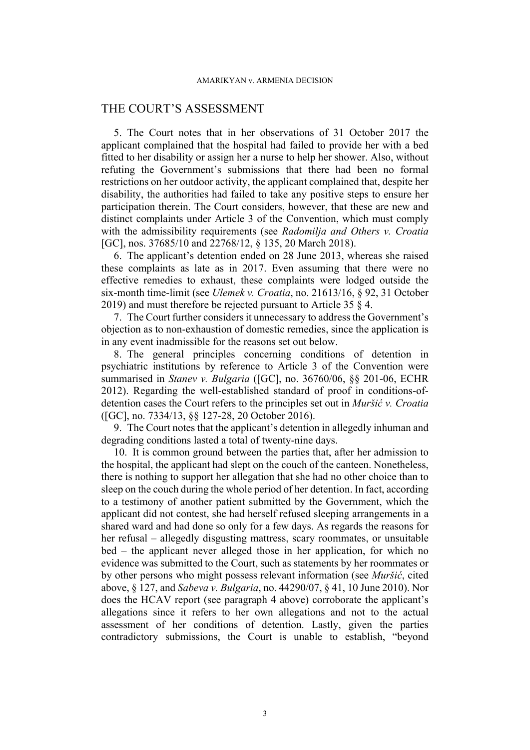## THE COURT'S ASSESSMENT

5. The Court notes that in her observations of 31 October 2017 the applicant complained that the hospital had failed to provide her with a bed fitted to her disability or assign her a nurse to help her shower. Also, without refuting the Government's submissions that there had been no formal restrictions on her outdoor activity, the applicant complained that, despite her disability, the authorities had failed to take any positive steps to ensure her participation therein. The Court considers, however, that these are new and distinct complaints under Article 3 of the Convention, which must comply with the admissibility requirements (see *Radomilja and Others v. Croatia* [GC], nos. 37685/10 and 22768/12, § 135, 20 March 2018).

6. The applicant's detention ended on 28 June 2013, whereas she raised these complaints as late as in 2017. Even assuming that there were no effective remedies to exhaust, these complaints were lodged outside the six-month time-limit (see *Ulemek v. Croatia*, no. 21613/16, § 92, 31 October 2019) and must therefore be rejected pursuant to Article 35 § 4.

7. The Court further considers it unnecessary to address the Government's objection as to non-exhaustion of domestic remedies, since the application is in any event inadmissible for the reasons set out below.

8. The general principles concerning conditions of detention in psychiatric institutions by reference to Article 3 of the Convention were summarised in *Stanev v. Bulgaria* ([GC], no. 36760/06, §§ 201-06, ECHR 2012). Regarding the well-established standard of proof in conditions-ofdetention cases the Court refers to the principles set out in *Muršić v. Croatia* ([GC], no. 7334/13, §§ 127-28, 20 October 2016).

9. The Court notes that the applicant's detention in allegedly inhuman and degrading conditions lasted a total of twenty-nine days.

10. It is common ground between the parties that, after her admission to the hospital, the applicant had slept on the couch of the canteen. Nonetheless, there is nothing to support her allegation that she had no other choice than to sleep on the couch during the whole period of her detention. In fact, according to a testimony of another patient submitted by the Government, which the applicant did not contest, she had herself refused sleeping arrangements in a shared ward and had done so only for a few days. As regards the reasons for her refusal – allegedly disgusting mattress, scary roommates, or unsuitable bed – the applicant never alleged those in her application, for which no evidence was submitted to the Court, such as statements by her roommates or by other persons who might possess relevant information (see *Muršić*, cited above, § 127, and *Sabeva v. Bulgaria*, no. 44290/07, § 41, 10 June 2010). Nor does the HCAV report (see paragraph [4](#page-1-1) above) corroborate the applicant's allegations since it refers to her own allegations and not to the actual assessment of her conditions of detention. Lastly, given the parties contradictory submissions, the Court is unable to establish, "beyond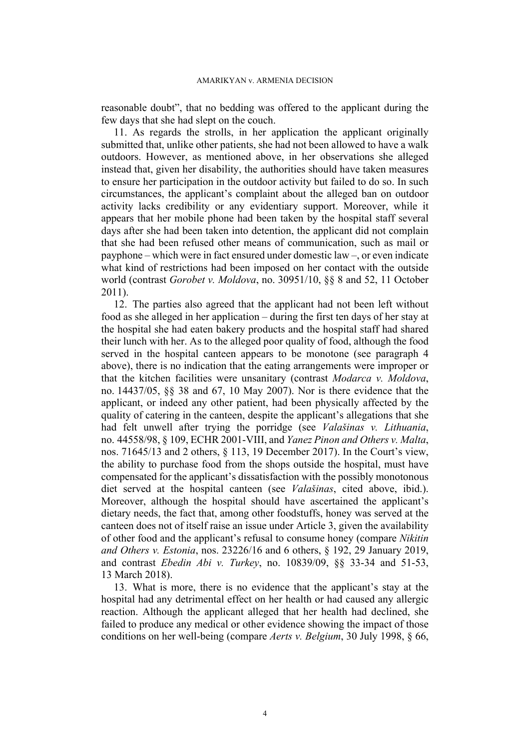reasonable doubt", that no bedding was offered to the applicant during the few days that she had slept on the couch.

11. As regards the strolls, in her application the applicant originally submitted that, unlike other patients, she had not been allowed to have a walk outdoors. However, as mentioned above, in her observations she alleged instead that, given her disability, the authorities should have taken measures to ensure her participation in the outdoor activity but failed to do so. In such circumstances, the applicant's complaint about the alleged ban on outdoor activity lacks credibility or any evidentiary support. Moreover, while it appears that her mobile phone had been taken by the hospital staff several days after she had been taken into detention, the applicant did not complain that she had been refused other means of communication, such as mail or payphone – which were in fact ensured under domestic law –, or even indicate what kind of restrictions had been imposed on her contact with the outside world (contrast *Gorobet v. Moldova*, no. 30951/10, §§ 8 and 52, 11 October 2011).

12. The parties also agreed that the applicant had not been left without food as she alleged in her application – during the first ten days of her stay at the hospital she had eaten bakery products and the hospital staff had shared their lunch with her. As to the alleged poor quality of food, although the food served in the hospital canteen appears to be monotone (see paragraph [4](#page-1-1)  above), there is no indication that the eating arrangements were improper or that the kitchen facilities were unsanitary (contrast *Modarca v. Moldova*, no. 14437/05, §§ 38 and 67, 10 May 2007). Nor is there evidence that the applicant, or indeed any other patient, had been physically affected by the quality of catering in the canteen, despite the applicant's allegations that she had felt unwell after trying the porridge (see *Valašinas v. Lithuania*, no. 44558/98, § 109, ECHR 2001-VIII, and *Yanez Pinon and Others v. Malta*, nos. 71645/13 and 2 others, § 113, 19 December 2017). In the Court's view, the ability to purchase food from the shops outside the hospital, must have compensated for the applicant's dissatisfaction with the possibly monotonous diet served at the hospital canteen (see *Valašinas*, cited above, ibid.). Moreover, although the hospital should have ascertained the applicant's dietary needs, the fact that, among other foodstuffs, honey was served at the canteen does not of itself raise an issue under Article 3, given the availability of other food and the applicant's refusal to consume honey (compare *Nikitin and Others v. Estonia*, nos. 23226/16 and 6 others, § 192, 29 January 2019, and contrast *Ebedin Abi v. Turkey*, no. 10839/09, §§ 33-34 and 51-53, 13 March 2018).

13. What is more, there is no evidence that the applicant's stay at the hospital had any detrimental effect on her health or had caused any allergic reaction. Although the applicant alleged that her health had declined, she failed to produce any medical or other evidence showing the impact of those conditions on her well-being (compare *Aerts v. Belgium*, 30 July 1998, § 66,